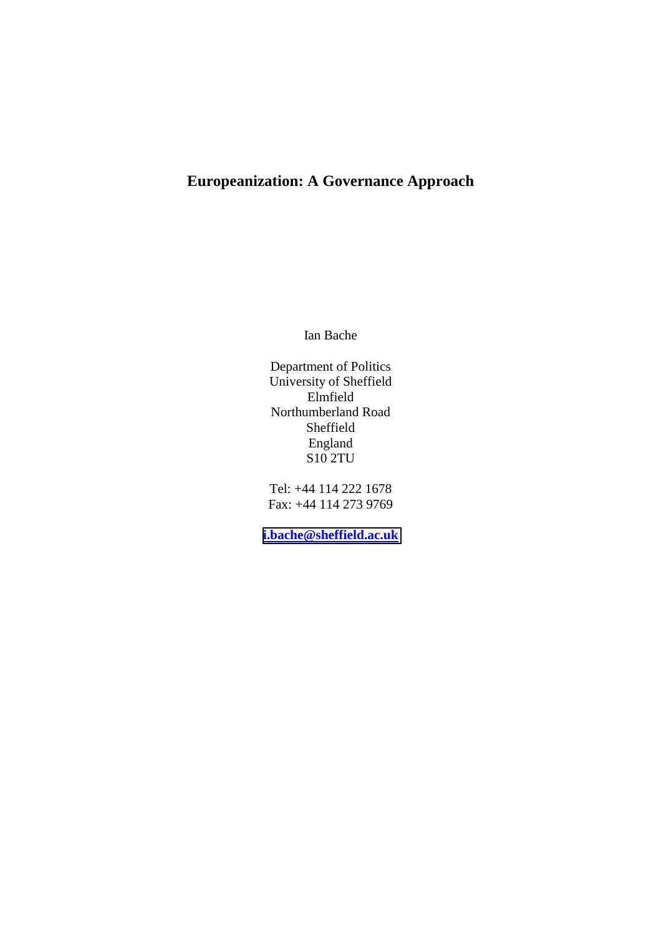# **Europeanization: A Governance Approach**

Ian Bache

Department of Politics University of Sheffield Elmfield Northumberland Road Sheffield England S10 2TU

Tel: +44 114 222 1678 Fax: +44 114 273 9769

**[i.bache@sheffield.ac.uk](mailto:i.bache@sheffield.ac.uk)**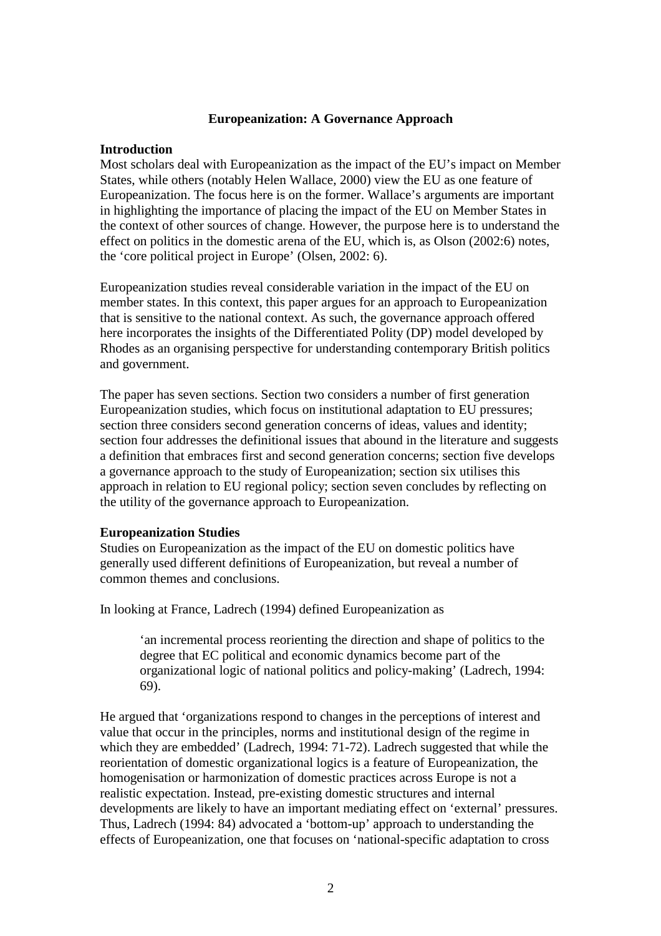#### **Europeanization: A Governance Approach**

#### **Introduction**

Most scholars deal with Europeanization as the impact of the EU's impact on Member States, while others (notably Helen Wallace, 2000) view the EU as one feature of Europeanization. The focus here is on the former. Wallace's arguments are important in highlighting the importance of placing the impact of the EU on Member States in the context of other sources of change. However, the purpose here is to understand the effect on politics in the domestic arena of the EU, which is, as Olson (2002:6) notes, the 'core political project in Europe' (Olsen, 2002: 6).

Europeanization studies reveal considerable variation in the impact of the EU on member states. In this context, this paper argues for an approach to Europeanization that is sensitive to the national context. As such, the governance approach offered here incorporates the insights of the Differentiated Polity (DP) model developed by Rhodes as an organising perspective for understanding contemporary British politics and government.

The paper has seven sections. Section two considers a number of first generation Europeanization studies, which focus on institutional adaptation to EU pressures; section three considers second generation concerns of ideas, values and identity; section four addresses the definitional issues that abound in the literature and suggests a definition that embraces first and second generation concerns; section five develops a governance approach to the study of Europeanization; section six utilises this approach in relation to EU regional policy; section seven concludes by reflecting on the utility of the governance approach to Europeanization.

#### **Europeanization Studies**

Studies on Europeanization as the impact of the EU on domestic politics have generally used different definitions of Europeanization, but reveal a number of common themes and conclusions.

In looking at France, Ladrech (1994) defined Europeanization as

'an incremental process reorienting the direction and shape of politics to the degree that EC political and economic dynamics become part of the organizational logic of national politics and policy-making' (Ladrech, 1994: 69).

He argued that 'organizations respond to changes in the perceptions of interest and value that occur in the principles, norms and institutional design of the regime in which they are embedded' (Ladrech, 1994: 71-72). Ladrech suggested that while the reorientation of domestic organizational logics is a feature of Europeanization, the homogenisation or harmonization of domestic practices across Europe is not a realistic expectation. Instead, pre-existing domestic structures and internal developments are likely to have an important mediating effect on 'external' pressures. Thus, Ladrech (1994: 84) advocated a 'bottom-up' approach to understanding the effects of Europeanization, one that focuses on 'national-specific adaptation to cross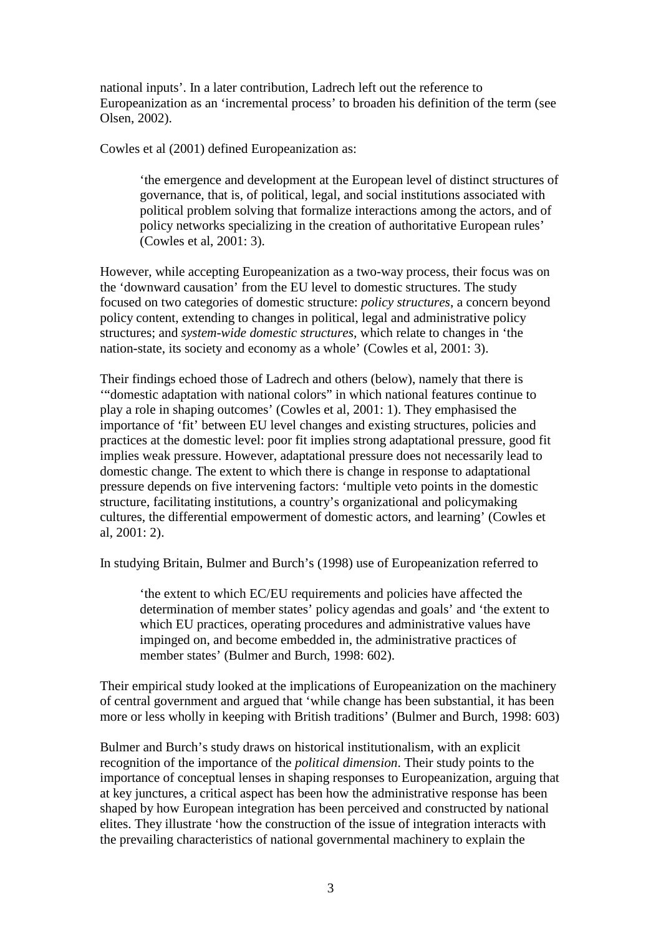national inputs'. In a later contribution, Ladrech left out the reference to Europeanization as an 'incremental process' to broaden his definition of the term (see Olsen, 2002).

Cowles et al (2001) defined Europeanization as:

'the emergence and development at the European level of distinct structures of governance, that is, of political, legal, and social institutions associated with political problem solving that formalize interactions among the actors, and of policy networks specializing in the creation of authoritative European rules' (Cowles et al, 2001: 3).

However, while accepting Europeanization as a two-way process, their focus was on the 'downward causation' from the EU level to domestic structures. The study focused on two categories of domestic structure: *policy structures*, a concern beyond policy content, extending to changes in political, legal and administrative policy structures; and *system-wide domestic structures,* which relate to changes in 'the nation-state, its society and economy as a whole' (Cowles et al, 2001: 3).

Their findings echoed those of Ladrech and others (below), namely that there is '"domestic adaptation with national colors" in which national features continue to play a role in shaping outcomes' (Cowles et al, 2001: 1). They emphasised the importance of 'fit' between EU level changes and existing structures, policies and practices at the domestic level: poor fit implies strong adaptational pressure, good fit implies weak pressure. However, adaptational pressure does not necessarily lead to domestic change. The extent to which there is change in response to adaptational pressure depends on five intervening factors: 'multiple veto points in the domestic structure, facilitating institutions, a country's organizational and policymaking cultures, the differential empowerment of domestic actors, and learning' (Cowles et al, 2001: 2).

In studying Britain, Bulmer and Burch's (1998) use of Europeanization referred to

'the extent to which EC/EU requirements and policies have affected the determination of member states' policy agendas and goals' and 'the extent to which EU practices, operating procedures and administrative values have impinged on, and become embedded in, the administrative practices of member states' (Bulmer and Burch, 1998: 602).

Their empirical study looked at the implications of Europeanization on the machinery of central government and argued that 'while change has been substantial, it has been more or less wholly in keeping with British traditions' (Bulmer and Burch, 1998: 603)

Bulmer and Burch's study draws on historical institutionalism, with an explicit recognition of the importance of the *political dimension*. Their study points to the importance of conceptual lenses in shaping responses to Europeanization, arguing that at key junctures, a critical aspect has been how the administrative response has been shaped by how European integration has been perceived and constructed by national elites. They illustrate 'how the construction of the issue of integration interacts with the prevailing characteristics of national governmental machinery to explain the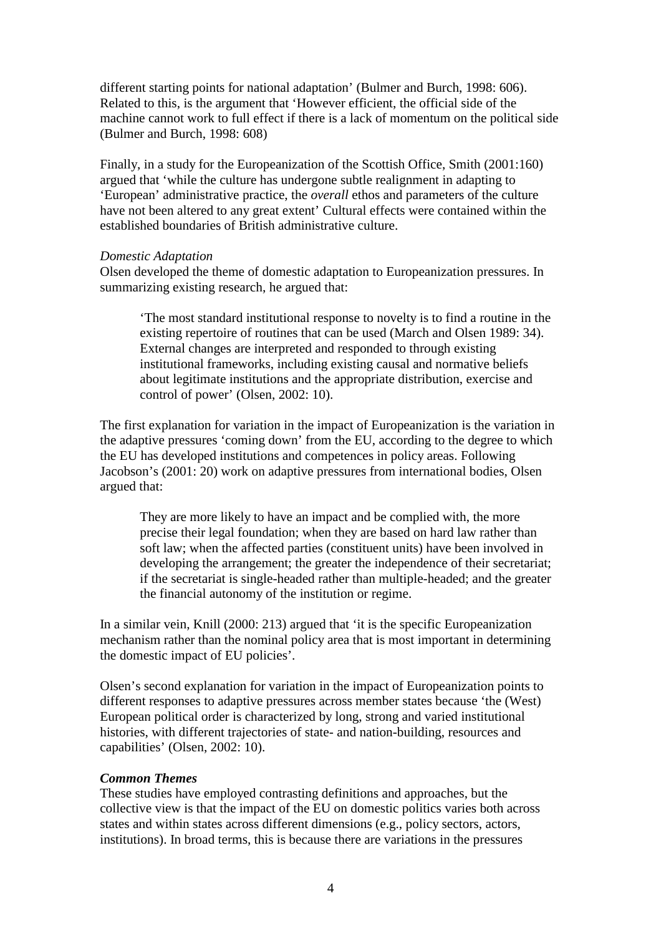different starting points for national adaptation' (Bulmer and Burch, 1998: 606). Related to this, is the argument that 'However efficient, the official side of the machine cannot work to full effect if there is a lack of momentum on the political side (Bulmer and Burch, 1998: 608)

Finally, in a study for the Europeanization of the Scottish Office, Smith (2001:160) argued that 'while the culture has undergone subtle realignment in adapting to 'European' administrative practice, the *overall* ethos and parameters of the culture have not been altered to any great extent' Cultural effects were contained within the established boundaries of British administrative culture.

#### *Domestic Adaptation*

Olsen developed the theme of domestic adaptation to Europeanization pressures. In summarizing existing research, he argued that:

'The most standard institutional response to novelty is to find a routine in the existing repertoire of routines that can be used (March and Olsen 1989: 34). External changes are interpreted and responded to through existing institutional frameworks, including existing causal and normative beliefs about legitimate institutions and the appropriate distribution, exercise and control of power' (Olsen, 2002: 10).

The first explanation for variation in the impact of Europeanization is the variation in the adaptive pressures 'coming down' from the EU, according to the degree to which the EU has developed institutions and competences in policy areas. Following Jacobson's (2001: 20) work on adaptive pressures from international bodies, Olsen argued that:

They are more likely to have an impact and be complied with, the more precise their legal foundation; when they are based on hard law rather than soft law; when the affected parties (constituent units) have been involved in developing the arrangement; the greater the independence of their secretariat; if the secretariat is single-headed rather than multiple-headed; and the greater the financial autonomy of the institution or regime.

In a similar vein, Knill (2000: 213) argued that 'it is the specific Europeanization mechanism rather than the nominal policy area that is most important in determining the domestic impact of EU policies'.

Olsen's second explanation for variation in the impact of Europeanization points to different responses to adaptive pressures across member states because 'the (West) European political order is characterized by long, strong and varied institutional histories, with different trajectories of state- and nation-building, resources and capabilities' (Olsen, 2002: 10).

#### *Common Themes*

These studies have employed contrasting definitions and approaches, but the collective view is that the impact of the EU on domestic politics varies both across states and within states across different dimensions (e.g., policy sectors, actors, institutions). In broad terms, this is because there are variations in the pressures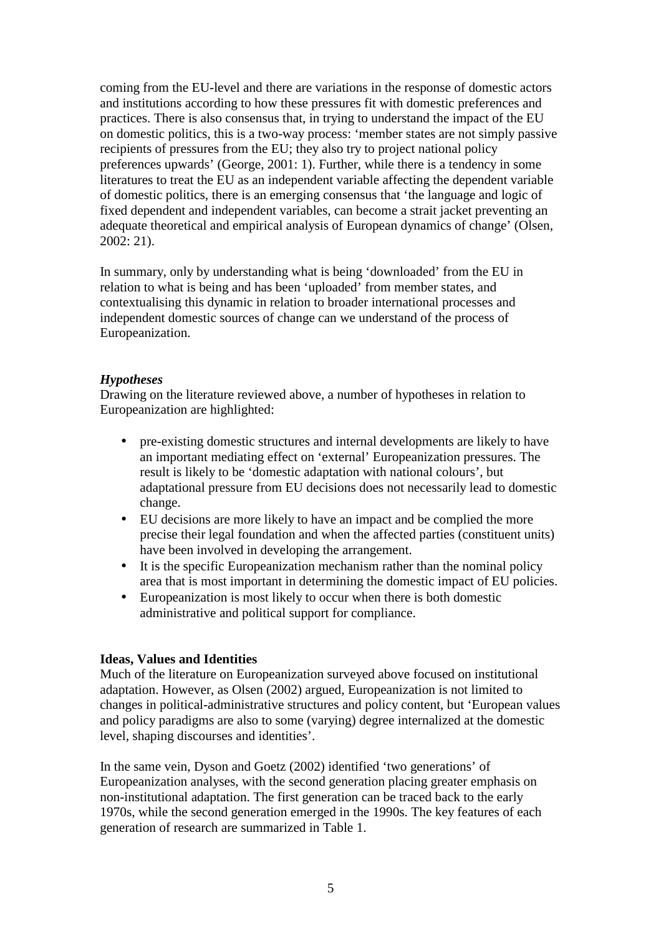coming from the EU-level and there are variations in the response of domestic actors and institutions according to how these pressures fit with domestic preferences and practices. There is also consensus that, in trying to understand the impact of the EU on domestic politics, this is a two-way process: 'member states are not simply passive recipients of pressures from the EU; they also try to project national policy preferences upwards' (George, 2001: 1). Further, while there is a tendency in some literatures to treat the EU as an independent variable affecting the dependent variable of domestic politics, there is an emerging consensus that 'the language and logic of fixed dependent and independent variables, can become a strait jacket preventing an adequate theoretical and empirical analysis of European dynamics of change' (Olsen, 2002: 21).

In summary, only by understanding what is being 'downloaded' from the EU in relation to what is being and has been 'uploaded' from member states, and contextualising this dynamic in relation to broader international processes and independent domestic sources of change can we understand of the process of Europeanization.

## *Hypotheses*

Drawing on the literature reviewed above, a number of hypotheses in relation to Europeanization are highlighted:

- pre-existing domestic structures and internal developments are likely to have an important mediating effect on 'external' Europeanization pressures. The result is likely to be 'domestic adaptation with national colours', but adaptational pressure from EU decisions does not necessarily lead to domestic change.
- EU decisions are more likely to have an impact and be complied the more precise their legal foundation and when the affected parties (constituent units) have been involved in developing the arrangement.
- It is the specific Europeanization mechanism rather than the nominal policy area that is most important in determining the domestic impact of EU policies.
- Europeanization is most likely to occur when there is both domestic administrative and political support for compliance.

## **Ideas, Values and Identities**

Much of the literature on Europeanization surveyed above focused on institutional adaptation. However, as Olsen (2002) argued, Europeanization is not limited to changes in political-administrative structures and policy content, but 'European values and policy paradigms are also to some (varying) degree internalized at the domestic level, shaping discourses and identities'.

In the same vein, Dyson and Goetz (2002) identified 'two generations' of Europeanization analyses, with the second generation placing greater emphasis on non-institutional adaptation. The first generation can be traced back to the early 1970s, while the second generation emerged in the 1990s. The key features of each generation of research are summarized in Table 1.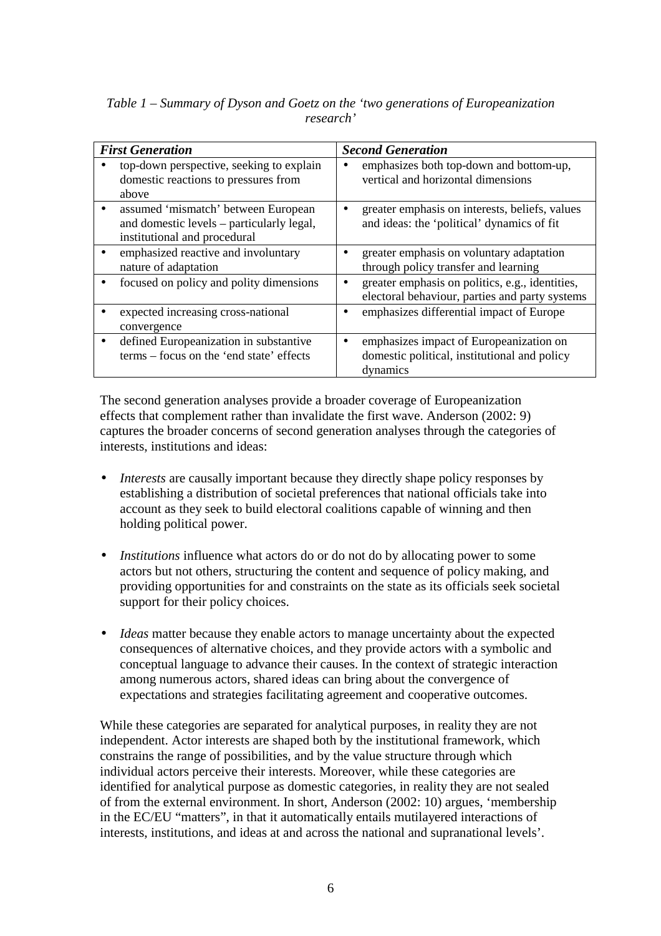| <b>First Generation</b> |                                                                                                                  | <b>Second Generation</b>                                                                                       |  |  |  |
|-------------------------|------------------------------------------------------------------------------------------------------------------|----------------------------------------------------------------------------------------------------------------|--|--|--|
|                         | top-down perspective, seeking to explain<br>domestic reactions to pressures from<br>above                        | emphasizes both top-down and bottom-up,<br>٠<br>vertical and horizontal dimensions                             |  |  |  |
| $\bullet$               | assumed 'mismatch' between European<br>and domestic levels – particularly legal,<br>institutional and procedural | greater emphasis on interests, beliefs, values<br>$\bullet$<br>and ideas: the 'political' dynamics of fit      |  |  |  |
|                         | emphasized reactive and involuntary<br>nature of adaptation                                                      | greater emphasis on voluntary adaptation<br>through policy transfer and learning                               |  |  |  |
|                         | focused on policy and polity dimensions                                                                          | greater emphasis on politics, e.g., identities,<br>$\bullet$<br>electoral behaviour, parties and party systems |  |  |  |
|                         | expected increasing cross-national<br>convergence                                                                | emphasizes differential impact of Europe                                                                       |  |  |  |
| $\bullet$               | defined Europeanization in substantive<br>terms – focus on the 'end state' effects                               | emphasizes impact of Europeanization on<br>٠<br>domestic political, institutional and policy<br>dynamics       |  |  |  |

*Table 1 – Summary of Dyson and Goetz on the 'two generations of Europeanization research'* 

The second generation analyses provide a broader coverage of Europeanization effects that complement rather than invalidate the first wave. Anderson (2002: 9) captures the broader concerns of second generation analyses through the categories of interests, institutions and ideas:

- *Interests* are causally important because they directly shape policy responses by establishing a distribution of societal preferences that national officials take into account as they seek to build electoral coalitions capable of winning and then holding political power.
- *Institutions* influence what actors do or do not do by allocating power to some actors but not others, structuring the content and sequence of policy making, and providing opportunities for and constraints on the state as its officials seek societal support for their policy choices.
- *Ideas* matter because they enable actors to manage uncertainty about the expected consequences of alternative choices, and they provide actors with a symbolic and conceptual language to advance their causes. In the context of strategic interaction among numerous actors, shared ideas can bring about the convergence of expectations and strategies facilitating agreement and cooperative outcomes.

While these categories are separated for analytical purposes, in reality they are not independent. Actor interests are shaped both by the institutional framework, which constrains the range of possibilities, and by the value structure through which individual actors perceive their interests. Moreover, while these categories are identified for analytical purpose as domestic categories, in reality they are not sealed of from the external environment. In short, Anderson (2002: 10) argues, 'membership in the EC/EU "matters", in that it automatically entails mutilayered interactions of interests, institutions, and ideas at and across the national and supranational levels'.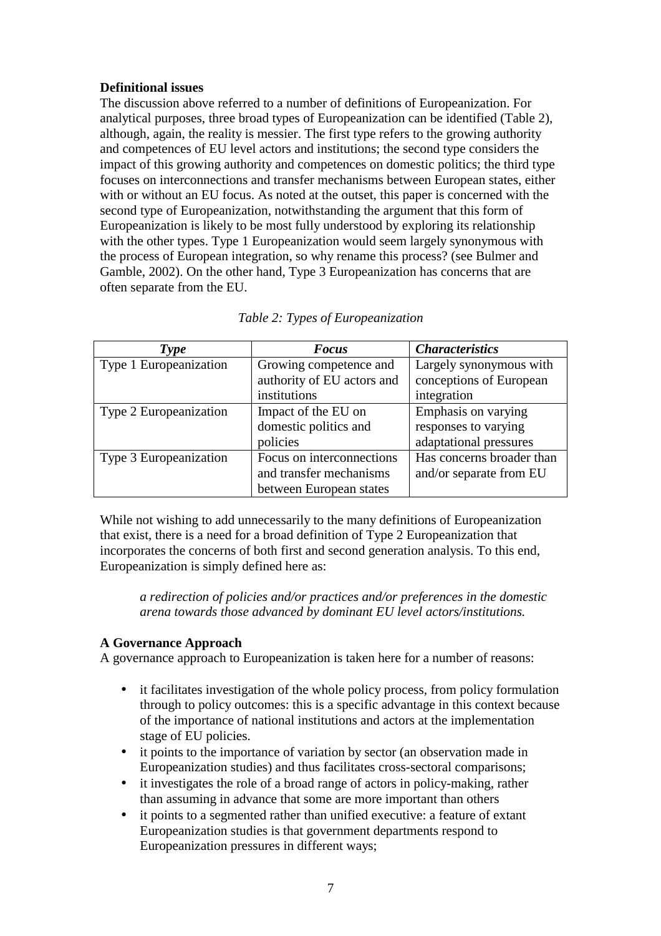# **Definitional issues**

The discussion above referred to a number of definitions of Europeanization. For analytical purposes, three broad types of Europeanization can be identified (Table 2), although, again, the reality is messier. The first type refers to the growing authority and competences of EU level actors and institutions; the second type considers the impact of this growing authority and competences on domestic politics; the third type focuses on interconnections and transfer mechanisms between European states, either with or without an EU focus. As noted at the outset, this paper is concerned with the second type of Europeanization, notwithstanding the argument that this form of Europeanization is likely to be most fully understood by exploring its relationship with the other types. Type 1 Europeanization would seem largely synonymous with the process of European integration, so why rename this process? (see Bulmer and Gamble, 2002). On the other hand, Type 3 Europeanization has concerns that are often separate from the EU.

|  |  |  | Table 2: Types of Europeanization |
|--|--|--|-----------------------------------|
|--|--|--|-----------------------------------|

| Type                                             | <b>Focus</b>               | <b>Characteristics</b>    |  |
|--------------------------------------------------|----------------------------|---------------------------|--|
| Type 1 Europeanization<br>Growing competence and |                            | Largely synonymous with   |  |
|                                                  | authority of EU actors and | conceptions of European   |  |
|                                                  | institutions               | integration               |  |
| Type 2 Europeanization                           | Impact of the EU on        | Emphasis on varying       |  |
|                                                  | domestic politics and      | responses to varying      |  |
|                                                  | policies                   | adaptational pressures    |  |
| Type 3 Europeanization                           | Focus on interconnections  | Has concerns broader than |  |
|                                                  | and transfer mechanisms    | and/or separate from EU   |  |
|                                                  | between European states    |                           |  |

While not wishing to add unnecessarily to the many definitions of Europeanization that exist, there is a need for a broad definition of Type 2 Europeanization that incorporates the concerns of both first and second generation analysis. To this end, Europeanization is simply defined here as:

*a redirection of policies and/or practices and/or preferences in the domestic arena towards those advanced by dominant EU level actors/institutions.* 

## **A Governance Approach**

A governance approach to Europeanization is taken here for a number of reasons:

- it facilitates investigation of the whole policy process, from policy formulation through to policy outcomes: this is a specific advantage in this context because of the importance of national institutions and actors at the implementation stage of EU policies.
- it points to the importance of variation by sector (an observation made in Europeanization studies) and thus facilitates cross-sectoral comparisons;
- it investigates the role of a broad range of actors in policy-making, rather than assuming in advance that some are more important than others
- it points to a segmented rather than unified executive: a feature of extant Europeanization studies is that government departments respond to Europeanization pressures in different ways;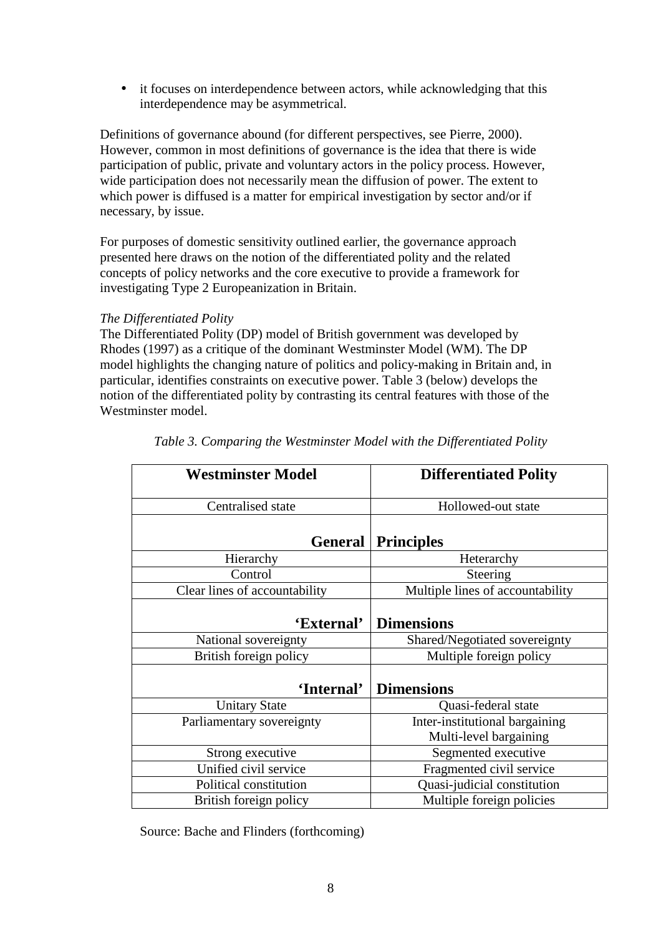• it focuses on interdependence between actors, while acknowledging that this interdependence may be asymmetrical.

Definitions of governance abound (for different perspectives, see Pierre, 2000). However, common in most definitions of governance is the idea that there is wide participation of public, private and voluntary actors in the policy process. However, wide participation does not necessarily mean the diffusion of power. The extent to which power is diffused is a matter for empirical investigation by sector and/or if necessary, by issue.

For purposes of domestic sensitivity outlined earlier, the governance approach presented here draws on the notion of the differentiated polity and the related concepts of policy networks and the core executive to provide a framework for investigating Type 2 Europeanization in Britain.

# *The Differentiated Polity*

The Differentiated Polity (DP) model of British government was developed by Rhodes (1997) as a critique of the dominant Westminster Model (WM). The DP model highlights the changing nature of politics and policy-making in Britain and, in particular, identifies constraints on executive power. Table 3 (below) develops the notion of the differentiated polity by contrasting its central features with those of the Westminster model.

| <b>Westminster Model</b>      | <b>Differentiated Polity</b>     |  |
|-------------------------------|----------------------------------|--|
| Centralised state             | Hollowed-out state               |  |
| <b>General</b>                | <b>Principles</b>                |  |
| Hierarchy                     | Heterarchy                       |  |
| Control                       | Steering                         |  |
| Clear lines of accountability | Multiple lines of accountability |  |
| 'External'                    | <b>Dimensions</b>                |  |
| National sovereignty          | Shared/Negotiated sovereignty    |  |
| British foreign policy        | Multiple foreign policy          |  |
| 'Internal'                    | <b>Dimensions</b>                |  |
| <b>Unitary State</b>          | Quasi-federal state              |  |
| Parliamentary sovereignty     | Inter-institutional bargaining   |  |
|                               | Multi-level bargaining           |  |
| Strong executive              | Segmented executive              |  |
| Unified civil service         | Fragmented civil service         |  |
| Political constitution        | Quasi-judicial constitution      |  |
| British foreign policy        | Multiple foreign policies        |  |

|  |  |  |  | Table 3. Comparing the Westminster Model with the Differentiated Polity |  |
|--|--|--|--|-------------------------------------------------------------------------|--|
|--|--|--|--|-------------------------------------------------------------------------|--|

Source: Bache and Flinders (forthcoming)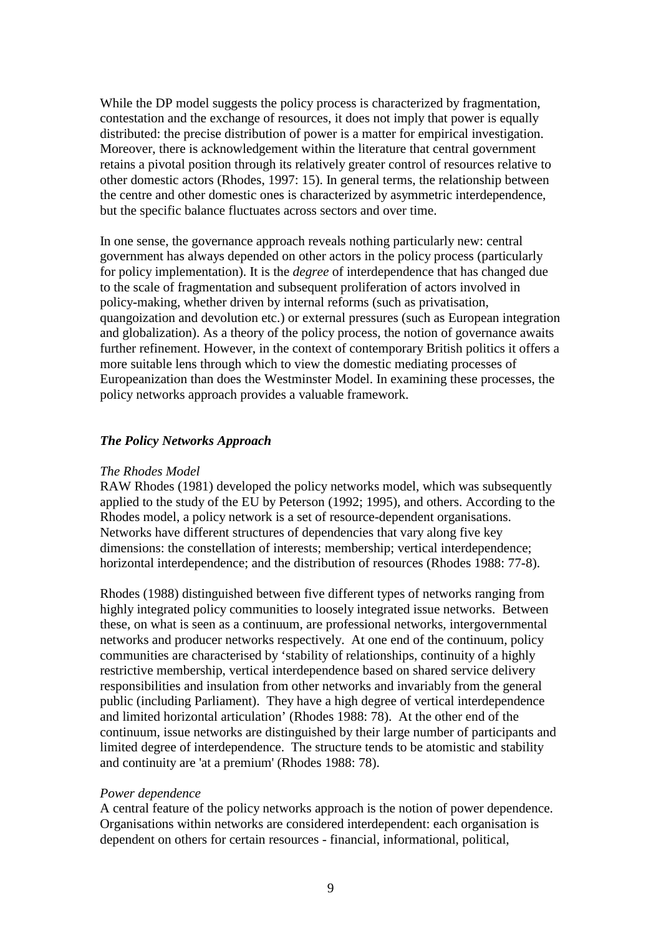While the DP model suggests the policy process is characterized by fragmentation, contestation and the exchange of resources, it does not imply that power is equally distributed: the precise distribution of power is a matter for empirical investigation. Moreover, there is acknowledgement within the literature that central government retains a pivotal position through its relatively greater control of resources relative to other domestic actors (Rhodes, 1997: 15). In general terms, the relationship between the centre and other domestic ones is characterized by asymmetric interdependence, but the specific balance fluctuates across sectors and over time.

In one sense, the governance approach reveals nothing particularly new: central government has always depended on other actors in the policy process (particularly for policy implementation). It is the *degree* of interdependence that has changed due to the scale of fragmentation and subsequent proliferation of actors involved in policy-making, whether driven by internal reforms (such as privatisation, quangoization and devolution etc.) or external pressures (such as European integration and globalization). As a theory of the policy process, the notion of governance awaits further refinement. However, in the context of contemporary British politics it offers a more suitable lens through which to view the domestic mediating processes of Europeanization than does the Westminster Model. In examining these processes, the policy networks approach provides a valuable framework.

## *The Policy Networks Approach*

#### *The Rhodes Model*

RAW Rhodes (1981) developed the policy networks model, which was subsequently applied to the study of the EU by Peterson (1992; 1995), and others. According to the Rhodes model, a policy network is a set of resource-dependent organisations. Networks have different structures of dependencies that vary along five key dimensions: the constellation of interests; membership; vertical interdependence; horizontal interdependence; and the distribution of resources (Rhodes 1988: 77-8).

Rhodes (1988) distinguished between five different types of networks ranging from highly integrated policy communities to loosely integrated issue networks. Between these, on what is seen as a continuum, are professional networks, intergovernmental networks and producer networks respectively. At one end of the continuum, policy communities are characterised by 'stability of relationships, continuity of a highly restrictive membership, vertical interdependence based on shared service delivery responsibilities and insulation from other networks and invariably from the general public (including Parliament). They have a high degree of vertical interdependence and limited horizontal articulation' (Rhodes 1988: 78). At the other end of the continuum, issue networks are distinguished by their large number of participants and limited degree of interdependence. The structure tends to be atomistic and stability and continuity are 'at a premium' (Rhodes 1988: 78).

#### *Power dependence*

A central feature of the policy networks approach is the notion of power dependence. Organisations within networks are considered interdependent: each organisation is dependent on others for certain resources - financial, informational, political,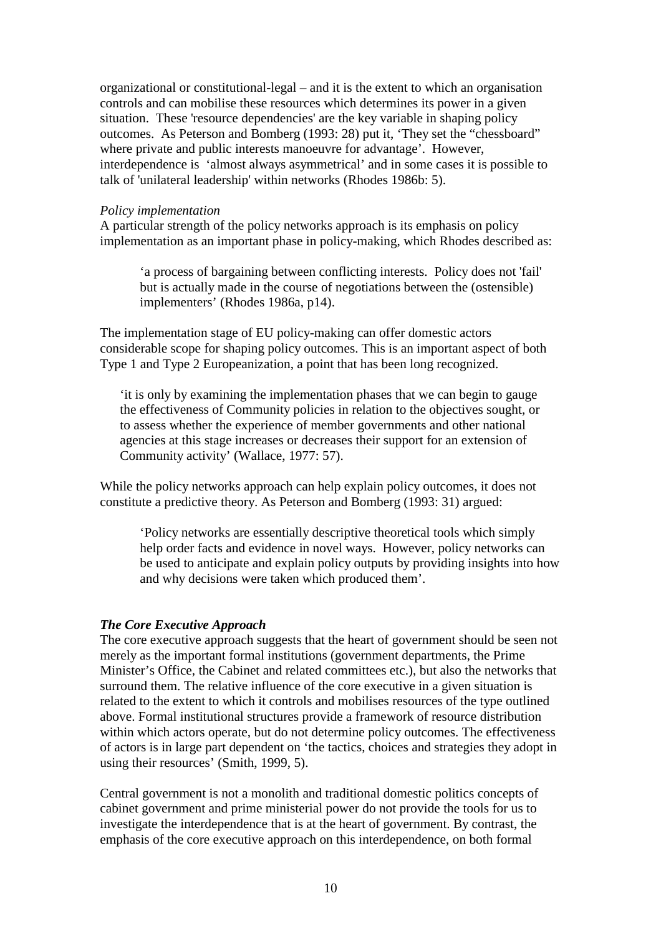organizational or constitutional-legal – and it is the extent to which an organisation controls and can mobilise these resources which determines its power in a given situation. These 'resource dependencies' are the key variable in shaping policy outcomes. As Peterson and Bomberg (1993: 28) put it, 'They set the "chessboard" where private and public interests manoeuvre for advantage'. However, interdependence is 'almost always asymmetrical' and in some cases it is possible to talk of 'unilateral leadership' within networks (Rhodes 1986b: 5).

#### *Policy implementation*

A particular strength of the policy networks approach is its emphasis on policy implementation as an important phase in policy-making, which Rhodes described as:

'a process of bargaining between conflicting interests. Policy does not 'fail' but is actually made in the course of negotiations between the (ostensible) implementers' (Rhodes 1986a, p14).

The implementation stage of EU policy-making can offer domestic actors considerable scope for shaping policy outcomes. This is an important aspect of both Type 1 and Type 2 Europeanization, a point that has been long recognized.

'it is only by examining the implementation phases that we can begin to gauge the effectiveness of Community policies in relation to the objectives sought, or to assess whether the experience of member governments and other national agencies at this stage increases or decreases their support for an extension of Community activity' (Wallace, 1977: 57).

While the policy networks approach can help explain policy outcomes, it does not constitute a predictive theory. As Peterson and Bomberg (1993: 31) argued:

'Policy networks are essentially descriptive theoretical tools which simply help order facts and evidence in novel ways. However, policy networks can be used to anticipate and explain policy outputs by providing insights into how and why decisions were taken which produced them'.

## *The Core Executive Approach*

The core executive approach suggests that the heart of government should be seen not merely as the important formal institutions (government departments, the Prime Minister's Office, the Cabinet and related committees etc.), but also the networks that surround them. The relative influence of the core executive in a given situation is related to the extent to which it controls and mobilises resources of the type outlined above. Formal institutional structures provide a framework of resource distribution within which actors operate, but do not determine policy outcomes. The effectiveness of actors is in large part dependent on 'the tactics, choices and strategies they adopt in using their resources' (Smith, 1999, 5).

Central government is not a monolith and traditional domestic politics concepts of cabinet government and prime ministerial power do not provide the tools for us to investigate the interdependence that is at the heart of government. By contrast, the emphasis of the core executive approach on this interdependence, on both formal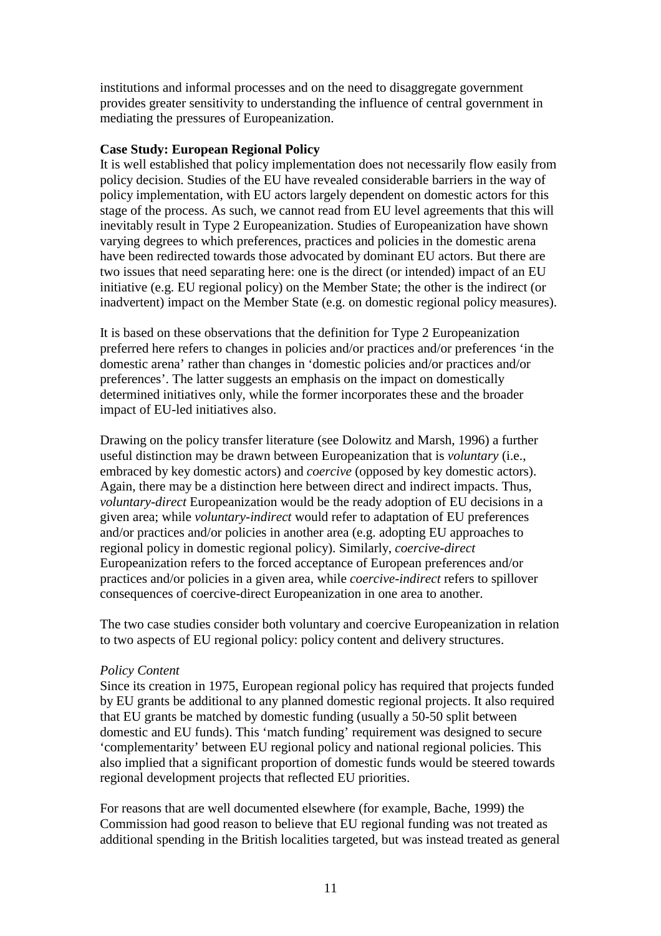institutions and informal processes and on the need to disaggregate government provides greater sensitivity to understanding the influence of central government in mediating the pressures of Europeanization.

## **Case Study: European Regional Policy**

It is well established that policy implementation does not necessarily flow easily from policy decision. Studies of the EU have revealed considerable barriers in the way of policy implementation, with EU actors largely dependent on domestic actors for this stage of the process. As such, we cannot read from EU level agreements that this will inevitably result in Type 2 Europeanization. Studies of Europeanization have shown varying degrees to which preferences, practices and policies in the domestic arena have been redirected towards those advocated by dominant EU actors. But there are two issues that need separating here: one is the direct (or intended) impact of an EU initiative (e.g. EU regional policy) on the Member State; the other is the indirect (or inadvertent) impact on the Member State (e.g. on domestic regional policy measures).

It is based on these observations that the definition for Type 2 Europeanization preferred here refers to changes in policies and/or practices and/or preferences 'in the domestic arena' rather than changes in 'domestic policies and/or practices and/or preferences'. The latter suggests an emphasis on the impact on domestically determined initiatives only, while the former incorporates these and the broader impact of EU-led initiatives also.

Drawing on the policy transfer literature (see Dolowitz and Marsh, 1996) a further useful distinction may be drawn between Europeanization that is *voluntary* (i.e., embraced by key domestic actors) and *coercive* (opposed by key domestic actors). Again, there may be a distinction here between direct and indirect impacts. Thus, *voluntary-direct* Europeanization would be the ready adoption of EU decisions in a given area; while *voluntary-indirect* would refer to adaptation of EU preferences and/or practices and/or policies in another area (e.g. adopting EU approaches to regional policy in domestic regional policy). Similarly, *coercive-direct* Europeanization refers to the forced acceptance of European preferences and/or practices and/or policies in a given area, while *coercive-indirect* refers to spillover consequences of coercive-direct Europeanization in one area to another.

The two case studies consider both voluntary and coercive Europeanization in relation to two aspects of EU regional policy: policy content and delivery structures.

## *Policy Content*

Since its creation in 1975, European regional policy has required that projects funded by EU grants be additional to any planned domestic regional projects. It also required that EU grants be matched by domestic funding (usually a 50-50 split between domestic and EU funds). This 'match funding' requirement was designed to secure 'complementarity' between EU regional policy and national regional policies. This also implied that a significant proportion of domestic funds would be steered towards regional development projects that reflected EU priorities.

For reasons that are well documented elsewhere (for example, Bache, 1999) the Commission had good reason to believe that EU regional funding was not treated as additional spending in the British localities targeted, but was instead treated as general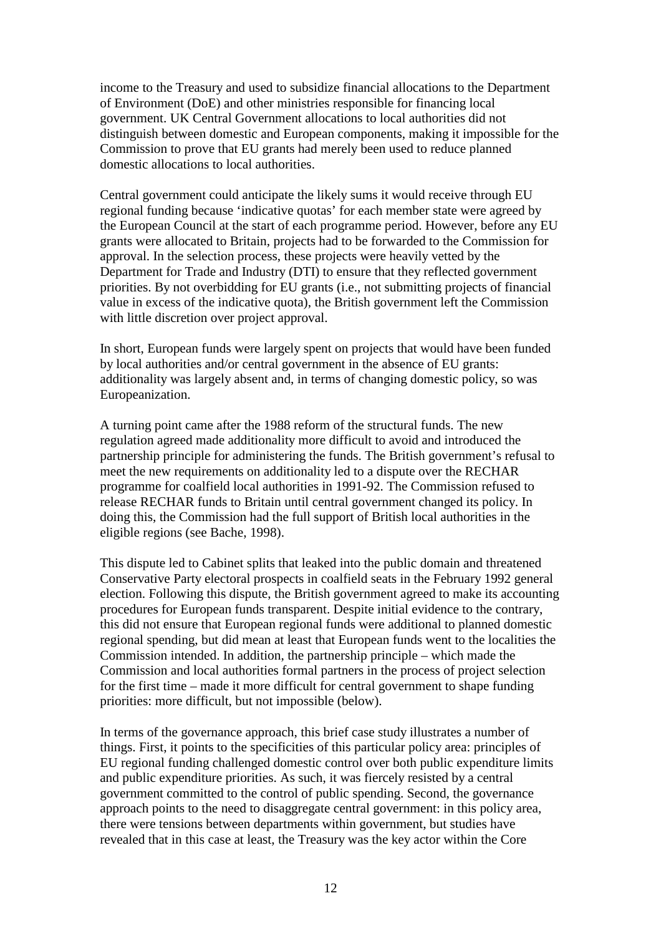income to the Treasury and used to subsidize financial allocations to the Department of Environment (DoE) and other ministries responsible for financing local government. UK Central Government allocations to local authorities did not distinguish between domestic and European components, making it impossible for the Commission to prove that EU grants had merely been used to reduce planned domestic allocations to local authorities.

Central government could anticipate the likely sums it would receive through EU regional funding because 'indicative quotas' for each member state were agreed by the European Council at the start of each programme period. However, before any EU grants were allocated to Britain, projects had to be forwarded to the Commission for approval. In the selection process, these projects were heavily vetted by the Department for Trade and Industry (DTI) to ensure that they reflected government priorities. By not overbidding for EU grants (i.e., not submitting projects of financial value in excess of the indicative quota), the British government left the Commission with little discretion over project approval.

In short, European funds were largely spent on projects that would have been funded by local authorities and/or central government in the absence of EU grants: additionality was largely absent and, in terms of changing domestic policy, so was Europeanization.

A turning point came after the 1988 reform of the structural funds. The new regulation agreed made additionality more difficult to avoid and introduced the partnership principle for administering the funds. The British government's refusal to meet the new requirements on additionality led to a dispute over the RECHAR programme for coalfield local authorities in 1991-92. The Commission refused to release RECHAR funds to Britain until central government changed its policy. In doing this, the Commission had the full support of British local authorities in the eligible regions (see Bache, 1998).

This dispute led to Cabinet splits that leaked into the public domain and threatened Conservative Party electoral prospects in coalfield seats in the February 1992 general election. Following this dispute, the British government agreed to make its accounting procedures for European funds transparent. Despite initial evidence to the contrary, this did not ensure that European regional funds were additional to planned domestic regional spending, but did mean at least that European funds went to the localities the Commission intended. In addition, the partnership principle – which made the Commission and local authorities formal partners in the process of project selection for the first time – made it more difficult for central government to shape funding priorities: more difficult, but not impossible (below).

In terms of the governance approach, this brief case study illustrates a number of things. First, it points to the specificities of this particular policy area: principles of EU regional funding challenged domestic control over both public expenditure limits and public expenditure priorities. As such, it was fiercely resisted by a central government committed to the control of public spending. Second, the governance approach points to the need to disaggregate central government: in this policy area, there were tensions between departments within government, but studies have revealed that in this case at least, the Treasury was the key actor within the Core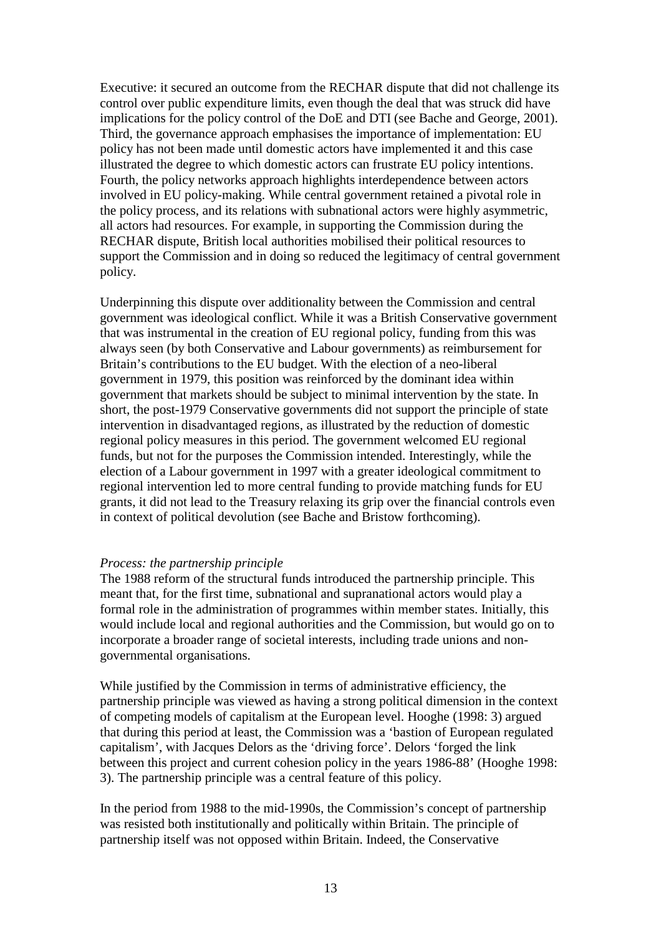Executive: it secured an outcome from the RECHAR dispute that did not challenge its control over public expenditure limits, even though the deal that was struck did have implications for the policy control of the DoE and DTI (see Bache and George, 2001). Third, the governance approach emphasises the importance of implementation: EU policy has not been made until domestic actors have implemented it and this case illustrated the degree to which domestic actors can frustrate EU policy intentions. Fourth, the policy networks approach highlights interdependence between actors involved in EU policy-making. While central government retained a pivotal role in the policy process, and its relations with subnational actors were highly asymmetric, all actors had resources. For example, in supporting the Commission during the RECHAR dispute, British local authorities mobilised their political resources to support the Commission and in doing so reduced the legitimacy of central government policy.

Underpinning this dispute over additionality between the Commission and central government was ideological conflict. While it was a British Conservative government that was instrumental in the creation of EU regional policy, funding from this was always seen (by both Conservative and Labour governments) as reimbursement for Britain's contributions to the EU budget. With the election of a neo-liberal government in 1979, this position was reinforced by the dominant idea within government that markets should be subject to minimal intervention by the state. In short, the post-1979 Conservative governments did not support the principle of state intervention in disadvantaged regions, as illustrated by the reduction of domestic regional policy measures in this period. The government welcomed EU regional funds, but not for the purposes the Commission intended. Interestingly, while the election of a Labour government in 1997 with a greater ideological commitment to regional intervention led to more central funding to provide matching funds for EU grants, it did not lead to the Treasury relaxing its grip over the financial controls even in context of political devolution (see Bache and Bristow forthcoming).

## *Process: the partnership principle*

The 1988 reform of the structural funds introduced the partnership principle. This meant that, for the first time, subnational and supranational actors would play a formal role in the administration of programmes within member states. Initially, this would include local and regional authorities and the Commission, but would go on to incorporate a broader range of societal interests, including trade unions and nongovernmental organisations.

While justified by the Commission in terms of administrative efficiency, the partnership principle was viewed as having a strong political dimension in the context of competing models of capitalism at the European level. Hooghe (1998: 3) argued that during this period at least, the Commission was a 'bastion of European regulated capitalism', with Jacques Delors as the 'driving force'. Delors 'forged the link between this project and current cohesion policy in the years 1986-88' (Hooghe 1998: 3). The partnership principle was a central feature of this policy.

In the period from 1988 to the mid-1990s, the Commission's concept of partnership was resisted both institutionally and politically within Britain. The principle of partnership itself was not opposed within Britain. Indeed, the Conservative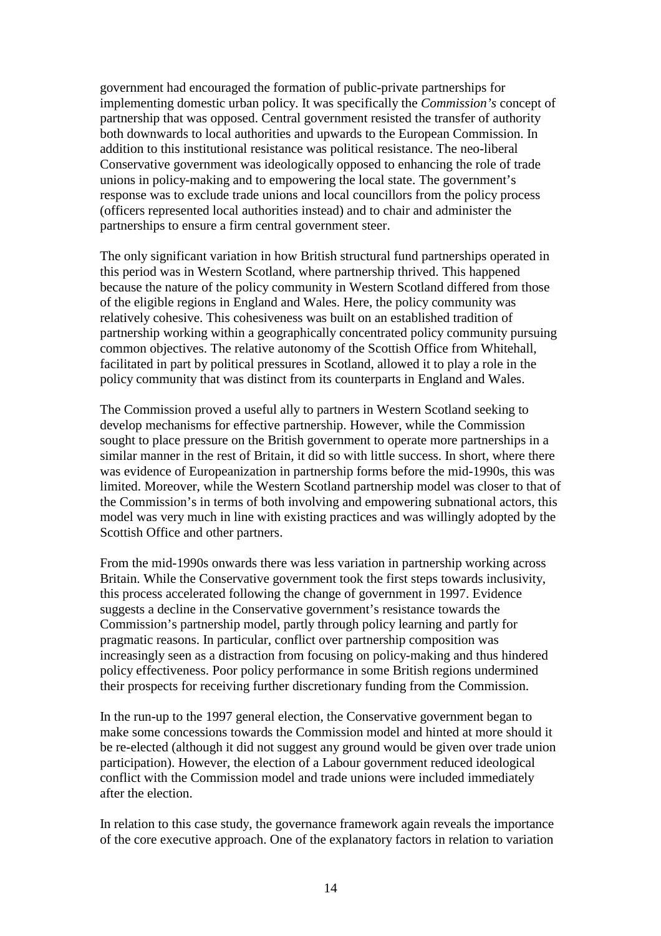government had encouraged the formation of public-private partnerships for implementing domestic urban policy. It was specifically the *Commission's* concept of partnership that was opposed. Central government resisted the transfer of authority both downwards to local authorities and upwards to the European Commission. In addition to this institutional resistance was political resistance. The neo-liberal Conservative government was ideologically opposed to enhancing the role of trade unions in policy-making and to empowering the local state. The government's response was to exclude trade unions and local councillors from the policy process (officers represented local authorities instead) and to chair and administer the partnerships to ensure a firm central government steer.

The only significant variation in how British structural fund partnerships operated in this period was in Western Scotland, where partnership thrived. This happened because the nature of the policy community in Western Scotland differed from those of the eligible regions in England and Wales. Here, the policy community was relatively cohesive. This cohesiveness was built on an established tradition of partnership working within a geographically concentrated policy community pursuing common objectives. The relative autonomy of the Scottish Office from Whitehall, facilitated in part by political pressures in Scotland, allowed it to play a role in the policy community that was distinct from its counterparts in England and Wales.

The Commission proved a useful ally to partners in Western Scotland seeking to develop mechanisms for effective partnership. However, while the Commission sought to place pressure on the British government to operate more partnerships in a similar manner in the rest of Britain, it did so with little success. In short, where there was evidence of Europeanization in partnership forms before the mid-1990s, this was limited. Moreover, while the Western Scotland partnership model was closer to that of the Commission's in terms of both involving and empowering subnational actors, this model was very much in line with existing practices and was willingly adopted by the Scottish Office and other partners.

From the mid-1990s onwards there was less variation in partnership working across Britain. While the Conservative government took the first steps towards inclusivity, this process accelerated following the change of government in 1997. Evidence suggests a decline in the Conservative government's resistance towards the Commission's partnership model, partly through policy learning and partly for pragmatic reasons. In particular, conflict over partnership composition was increasingly seen as a distraction from focusing on policy-making and thus hindered policy effectiveness. Poor policy performance in some British regions undermined their prospects for receiving further discretionary funding from the Commission.

In the run-up to the 1997 general election, the Conservative government began to make some concessions towards the Commission model and hinted at more should it be re-elected (although it did not suggest any ground would be given over trade union participation). However, the election of a Labour government reduced ideological conflict with the Commission model and trade unions were included immediately after the election.

In relation to this case study, the governance framework again reveals the importance of the core executive approach. One of the explanatory factors in relation to variation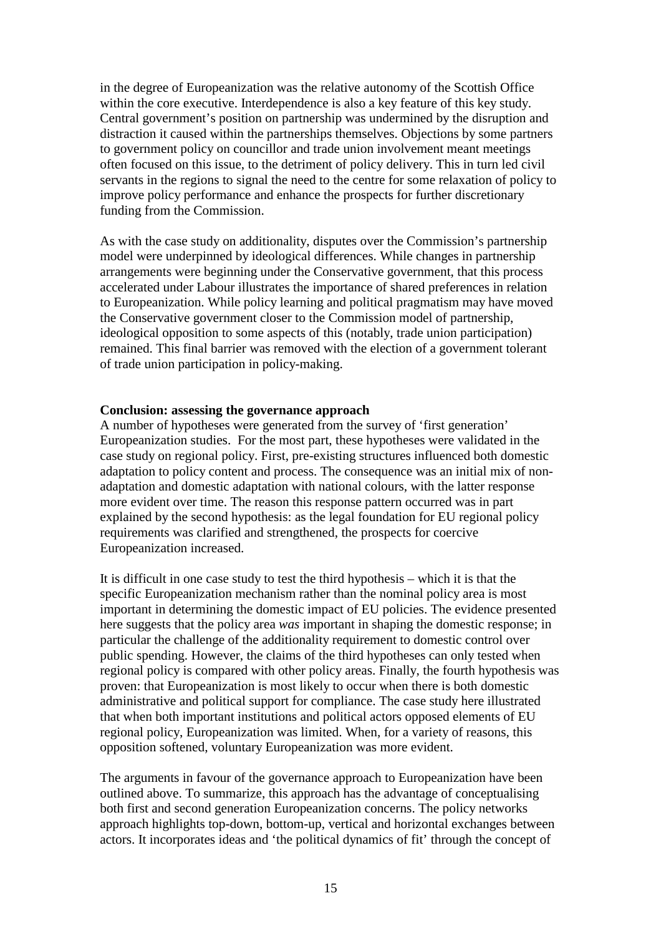in the degree of Europeanization was the relative autonomy of the Scottish Office within the core executive. Interdependence is also a key feature of this key study. Central government's position on partnership was undermined by the disruption and distraction it caused within the partnerships themselves. Objections by some partners to government policy on councillor and trade union involvement meant meetings often focused on this issue, to the detriment of policy delivery. This in turn led civil servants in the regions to signal the need to the centre for some relaxation of policy to improve policy performance and enhance the prospects for further discretionary funding from the Commission.

As with the case study on additionality, disputes over the Commission's partnership model were underpinned by ideological differences. While changes in partnership arrangements were beginning under the Conservative government, that this process accelerated under Labour illustrates the importance of shared preferences in relation to Europeanization. While policy learning and political pragmatism may have moved the Conservative government closer to the Commission model of partnership, ideological opposition to some aspects of this (notably, trade union participation) remained. This final barrier was removed with the election of a government tolerant of trade union participation in policy-making.

#### **Conclusion: assessing the governance approach**

A number of hypotheses were generated from the survey of 'first generation' Europeanization studies. For the most part, these hypotheses were validated in the case study on regional policy. First, pre-existing structures influenced both domestic adaptation to policy content and process. The consequence was an initial mix of nonadaptation and domestic adaptation with national colours, with the latter response more evident over time. The reason this response pattern occurred was in part explained by the second hypothesis: as the legal foundation for EU regional policy requirements was clarified and strengthened, the prospects for coercive Europeanization increased.

It is difficult in one case study to test the third hypothesis – which it is that the specific Europeanization mechanism rather than the nominal policy area is most important in determining the domestic impact of EU policies. The evidence presented here suggests that the policy area *was* important in shaping the domestic response; in particular the challenge of the additionality requirement to domestic control over public spending. However, the claims of the third hypotheses can only tested when regional policy is compared with other policy areas. Finally, the fourth hypothesis was proven: that Europeanization is most likely to occur when there is both domestic administrative and political support for compliance. The case study here illustrated that when both important institutions and political actors opposed elements of EU regional policy, Europeanization was limited. When, for a variety of reasons, this opposition softened, voluntary Europeanization was more evident.

The arguments in favour of the governance approach to Europeanization have been outlined above. To summarize, this approach has the advantage of conceptualising both first and second generation Europeanization concerns. The policy networks approach highlights top-down, bottom-up, vertical and horizontal exchanges between actors. It incorporates ideas and 'the political dynamics of fit' through the concept of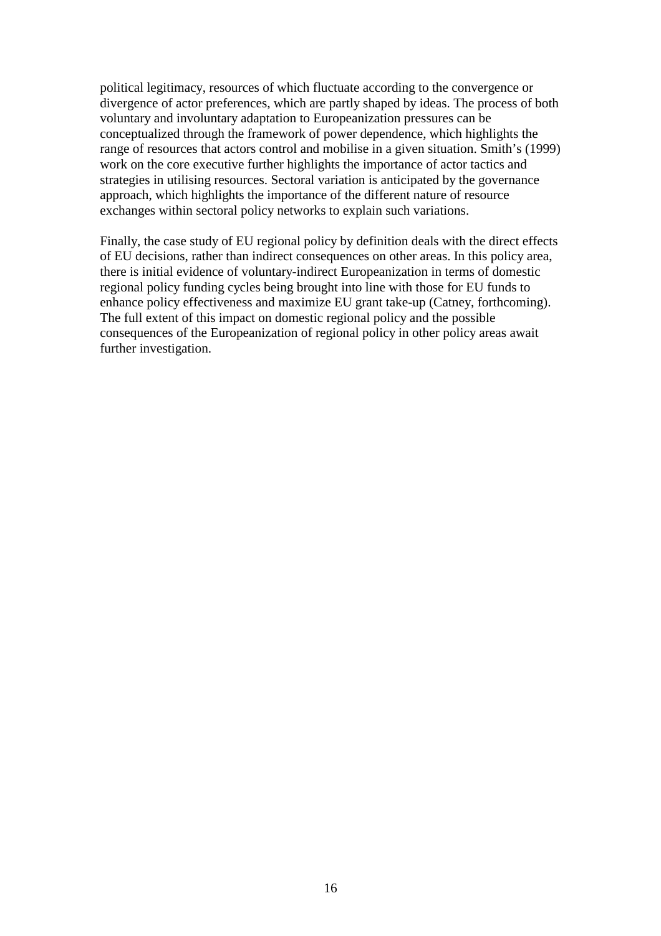political legitimacy, resources of which fluctuate according to the convergence or divergence of actor preferences, which are partly shaped by ideas. The process of both voluntary and involuntary adaptation to Europeanization pressures can be conceptualized through the framework of power dependence, which highlights the range of resources that actors control and mobilise in a given situation. Smith's (1999) work on the core executive further highlights the importance of actor tactics and strategies in utilising resources. Sectoral variation is anticipated by the governance approach, which highlights the importance of the different nature of resource exchanges within sectoral policy networks to explain such variations.

Finally, the case study of EU regional policy by definition deals with the direct effects of EU decisions, rather than indirect consequences on other areas. In this policy area, there is initial evidence of voluntary-indirect Europeanization in terms of domestic regional policy funding cycles being brought into line with those for EU funds to enhance policy effectiveness and maximize EU grant take-up (Catney, forthcoming). The full extent of this impact on domestic regional policy and the possible consequences of the Europeanization of regional policy in other policy areas await further investigation.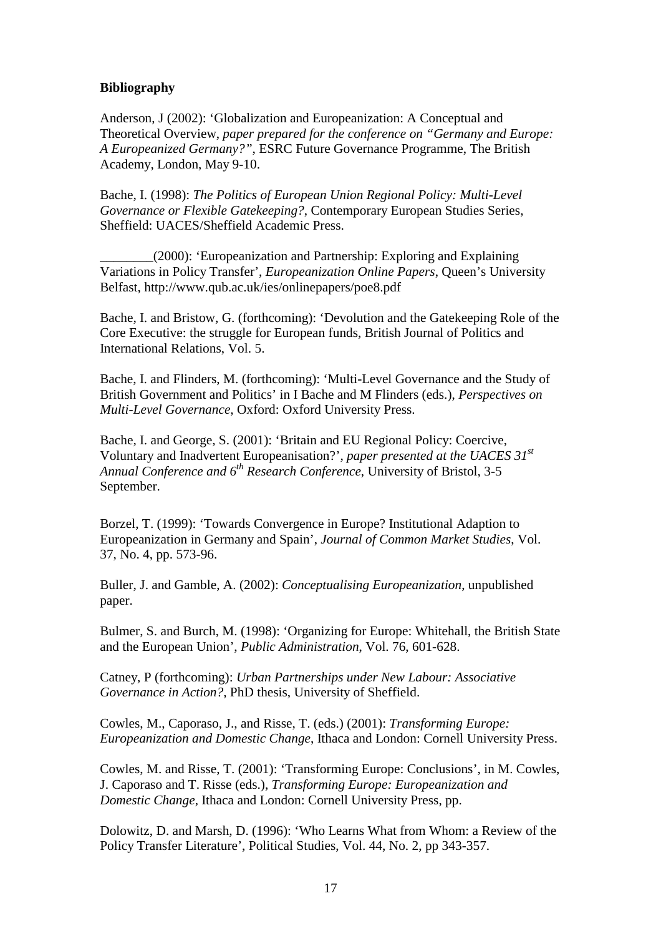## **Bibliography**

Anderson, J (2002): 'Globalization and Europeanization: A Conceptual and Theoretical Overview, *paper prepared for the conference on "Germany and Europe: A Europeanized Germany?"*, ESRC Future Governance Programme, The British Academy, London, May 9-10.

Bache, I. (1998): *The Politics of European Union Regional Policy: Multi-Level Governance or Flexible Gatekeeping?*, Contemporary European Studies Series, Sheffield: UACES/Sheffield Academic Press.

\_\_\_\_\_\_\_\_(2000): 'Europeanization and Partnership: Exploring and Explaining Variations in Policy Transfer', *Europeanization Online Papers*, Queen's University Belfast, http://www.qub.ac.uk/ies/onlinepapers/poe8.pdf

Bache, I. and Bristow, G. (forthcoming): 'Devolution and the Gatekeeping Role of the Core Executive: the struggle for European funds, British Journal of Politics and International Relations, Vol. 5.

Bache, I. and Flinders, M. (forthcoming): 'Multi-Level Governance and the Study of British Government and Politics' in I Bache and M Flinders (eds.), *Perspectives on Multi-Level Governance*, Oxford: Oxford University Press.

Bache, I. and George, S. (2001): 'Britain and EU Regional Policy: Coercive, Voluntary and Inadvertent Europeanisation?', *paper presented at the UACES 31st Annual Conference and 6th Research Conference*, University of Bristol, 3-5 September.

Borzel, T. (1999): 'Towards Convergence in Europe? Institutional Adaption to Europeanization in Germany and Spain', *Journal of Common Market Studies*, Vol. 37, No. 4, pp. 573-96.

Buller, J. and Gamble, A. (2002): *Conceptualising Europeanization*, unpublished paper.

Bulmer, S. and Burch, M. (1998): 'Organizing for Europe: Whitehall, the British State and the European Union', *Public Administration*, Vol. 76, 601-628.

Catney, P (forthcoming): *Urban Partnerships under New Labour: Associative Governance in Action?*, PhD thesis, University of Sheffield.

Cowles, M., Caporaso, J., and Risse, T. (eds.) (2001): *Transforming Europe: Europeanization and Domestic Change*, Ithaca and London: Cornell University Press.

Cowles, M. and Risse, T. (2001): 'Transforming Europe: Conclusions', in M. Cowles, J. Caporaso and T. Risse (eds.), *Transforming Europe: Europeanization and Domestic Change*, Ithaca and London: Cornell University Press, pp.

Dolowitz, D. and Marsh, D. (1996): 'Who Learns What from Whom: a Review of the Policy Transfer Literature', Political Studies, Vol. 44, No. 2, pp 343-357.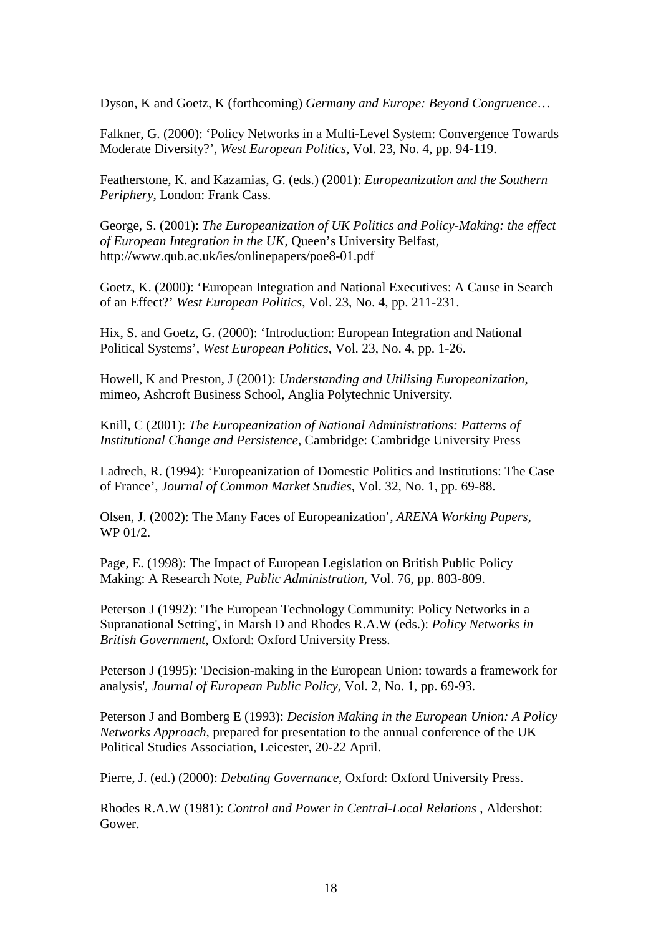Dyson, K and Goetz, K (forthcoming) *Germany and Europe: Beyond Congruence*…

Falkner, G. (2000): 'Policy Networks in a Multi-Level System: Convergence Towards Moderate Diversity?', *West European Politics*, Vol. 23, No. 4, pp. 94-119.

Featherstone, K. and Kazamias, G. (eds.) (2001): *Europeanization and the Southern Periphery*, London: Frank Cass.

George, S. (2001): *The Europeanization of UK Politics and Policy-Making: the effect of European Integration in the UK*, Queen's University Belfast, http://www.qub.ac.uk/ies/onlinepapers/poe8-01.pdf

Goetz, K. (2000): 'European Integration and National Executives: A Cause in Search of an Effect?' *West European Politics*, Vol. 23, No. 4, pp. 211-231.

Hix, S. and Goetz, G. (2000): 'Introduction: European Integration and National Political Systems', *West European Politics*, Vol. 23, No. 4, pp. 1-26.

Howell, K and Preston, J (2001): *Understanding and Utilising Europeanization*, mimeo, Ashcroft Business School, Anglia Polytechnic University.

Knill, C (2001): *The Europeanization of National Administrations: Patterns of Institutional Change and Persistence*, Cambridge: Cambridge University Press

Ladrech, R. (1994): 'Europeanization of Domestic Politics and Institutions: The Case of France', *Journal of Common Market Studies*, Vol. 32, No. 1, pp. 69-88.

Olsen, J. (2002): The Many Faces of Europeanization', *ARENA Working Papers*, WP 01/2.

Page, E. (1998): The Impact of European Legislation on British Public Policy Making: A Research Note, *Public Administration*, Vol. 76, pp. 803-809.

Peterson J (1992): 'The European Technology Community: Policy Networks in a Supranational Setting', in Marsh D and Rhodes R.A.W (eds.): *Policy Networks in British Government*, Oxford: Oxford University Press.

Peterson J (1995): 'Decision*-*making in the European Union: towards a framework for analysis', *Journal of European Public Policy*, Vol. 2, No. 1, pp. 69*-*93.

Peterson J and Bomberg E (1993): *Decision Making in the European Union: A Policy Networks Approach*, prepared for presentation to the annual conference of the UK Political Studies Association, Leicester, 20*-*22 April.

Pierre, J. (ed.) (2000): *Debating Governance*, Oxford: Oxford University Press.

Rhodes R.A.W (1981): *Control and Power in Central-Local Relations* , Aldershot: Gower.